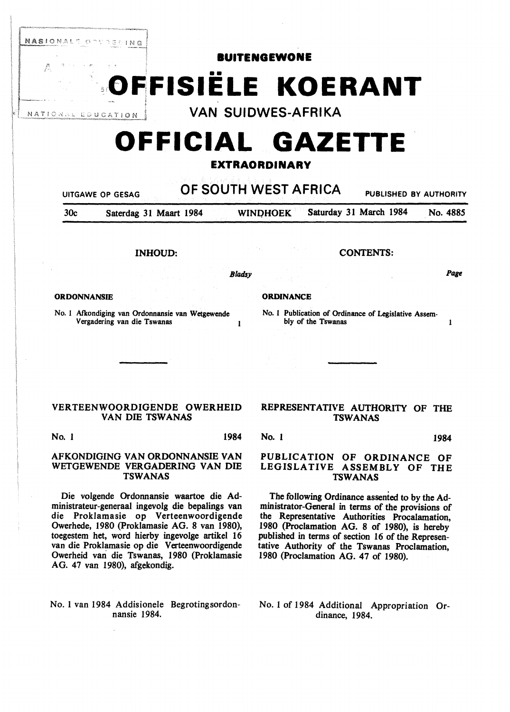

INHOUD: CONTENTS:

ORDONNANSIE ORDINANCE

No. I Afkondiging van Ordonnansie van Wetgewende Vergadering van die Tswanas J

VERTEENWOORDIGENDE OWERHEID VAN DIE TSWANAS

No. 1 1984

# AFKONDIGING VAN ORDONNANSIE VAN WETGEWENDE VERGADERING VAN DIE TSWANAS

Die volgende Ordonnansie waartoe die Administrateur-generaal ingevolg die bepalings van die Proklamasie op Verteenwoordigende Owerhede, 1980 (Proklamasie AG. 8 van 1980), toegestem het, word hierby ingevolge artikel 16 van die Proklamasie op die Verteenwoordigende Owerheid vari die Tswanas, 1980 (Proklamasie AG. 47 van 1980), afgekondig.

No. 1 van 1984 Addisionele Begrotingsordonnansie 1984.

*Bladsy Page* 

No. I Publication of Ordinance of Legislative Assem-

bly of the Tswanas 1

# REPRESENTATIVE AUTHORITY OF THE TSWANAS

No. 1 1984

# PUBLICATION OF ORDINANCE OF LEGISLATIVE ASSEMBLY OF THE TSWANAS

The following Ordinance assented to by the Administrator-General in terms of the provisions of the Representative Authorities Procalamation, 1980 (Proclamation AG. 8 of 1980), is hereby published in terms of section 16 of the Representative Authority of the Tswanas Proclamation, 1980 (Proclamation AG. 47 of 1980).

No. 1 of 1984 Additional Appropriation Ordinance, 1984.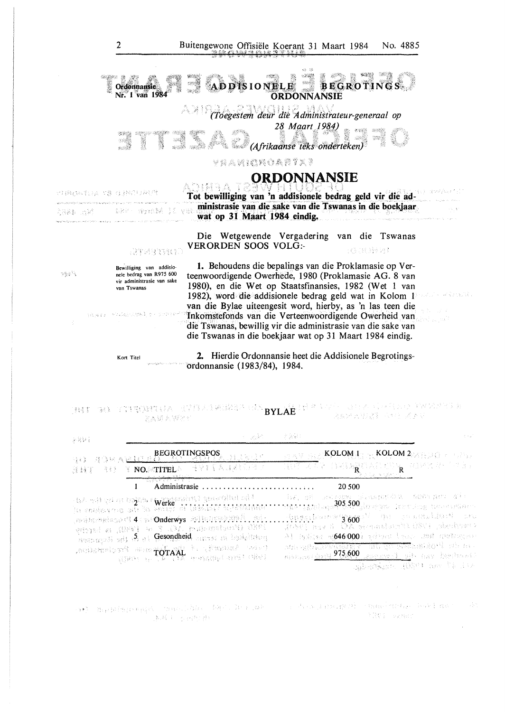

ordonnansie (1983/84), 1984.

### BYLAE TA TIERREUA STELBERSE GERAL BYLAE PER PET LEOP POLITIKE PROSPER.<br>BYLAE 法案环式登记簿 八州行 游天星 2. 人民大学的

| a gykt<br>동용물등                                                                                                                                                                                                                                                                                                                                                                      | - 게용으로                                                                                                                                                                                                                                                                                                                                                                                                                    |
|-------------------------------------------------------------------------------------------------------------------------------------------------------------------------------------------------------------------------------------------------------------------------------------------------------------------------------------------------------------------------------------|---------------------------------------------------------------------------------------------------------------------------------------------------------------------------------------------------------------------------------------------------------------------------------------------------------------------------------------------------------------------------------------------------------------------------|
| REGROTINGSPOS REGISTER<br>Y NO. TITELA SYLVALOGICA<br>- 월로 원시<br>服装箱的                                                                                                                                                                                                                                                                                                               | <b>SEAVEN KOLOMA</b> AN KOLOM 2 MEDIA CONTROL<br>TEST ZER GRISSING VERWEIGEREN.<br>SE DE ANSATION                                                                                                                                                                                                                                                                                                                         |
| ╼╾ᡩ╅╅╇┲╜┽<br>Administrasie<br>-tid edi çol qola <b>şğes e yapa</b> nden) yaçeçdini sül.<br>De sonlayeng sül de vençe di lakanif hijtirkinide<br>with the set 4 of Onderwys will be settled in .<br>THE Grandemann AC, F at [FAD, is beenly<br>mency of it is a Gesondheid, arrived in building<br>their Astestin of the remains, the companies, 1980 the property of the companies, | 20 500<br>tis, on the group pleasent on them per all t<br>wine the bound 305,500 derived because the service<br>, the state and $3.600$ and the construction of the construction of $\sim$<br>Owerhede, 1985 DN Mannobel SN 1988 John<br>Al Galan ag646.000) privated new 2018 spottings of<br>an de grande de la component de grande de la component<br>single set 975.600 sprace i sit has bedract<br>人们 经不同的 经经额 网络海绵属 |

r an Friod Colombia (1985) - Francisco Colombia (1985) - de Participa (1986) - Agregada (1986) - 198<br>Colombia **FRONT PRABLE** 李老夫 小动油